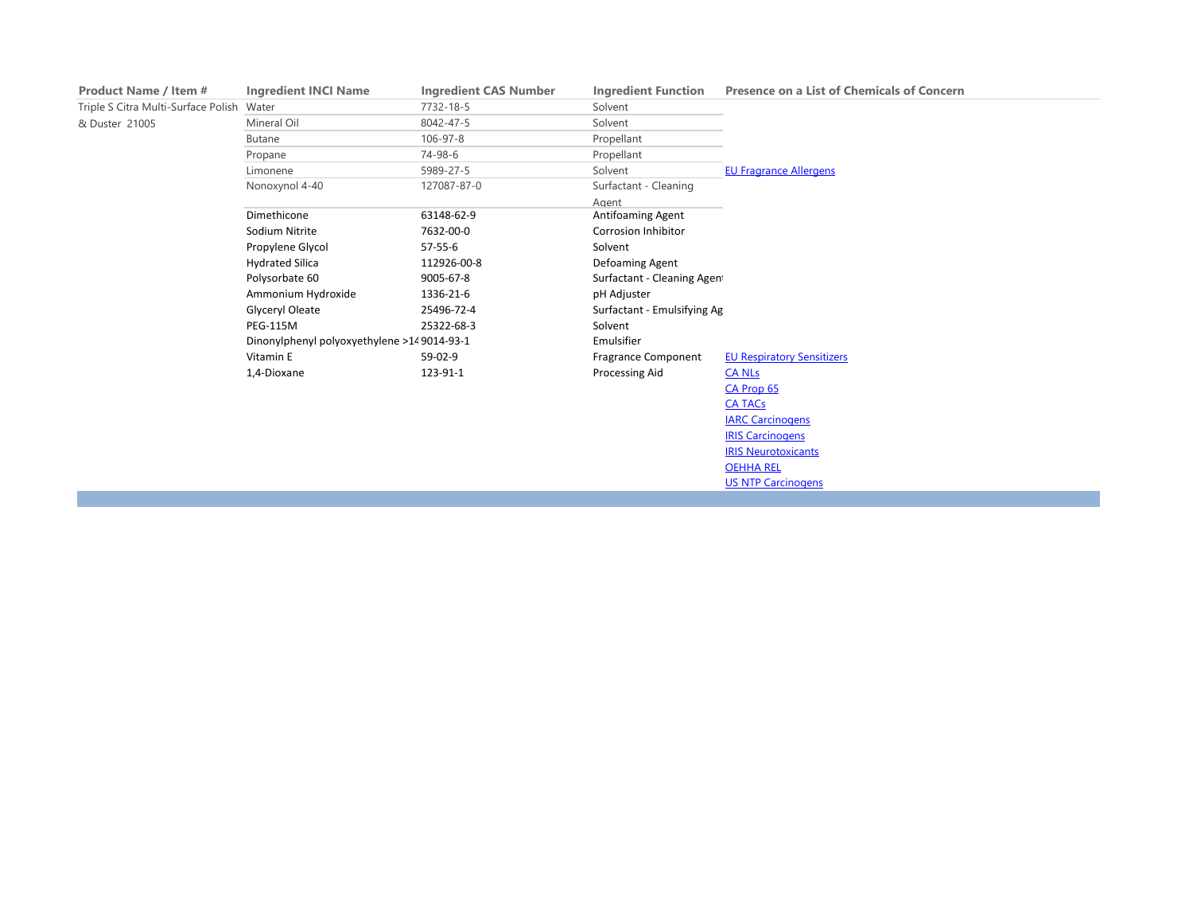| <b>Product Name / Item #</b>        | <b>Ingredient INCI Name</b>                | <b>Ingredient CAS Number</b> | <b>Ingredient Function</b>  | <b>Presence on a List of Chemicals of Concern</b> |
|-------------------------------------|--------------------------------------------|------------------------------|-----------------------------|---------------------------------------------------|
| Triple S Citra Multi-Surface Polish | Water                                      | 7732-18-5                    | Solvent                     |                                                   |
| & Duster 21005                      | Mineral Oil                                | 8042-47-5                    | Solvent                     |                                                   |
|                                     | <b>Butane</b>                              | 106-97-8                     | Propellant                  |                                                   |
|                                     | Propane                                    | 74-98-6                      | Propellant                  |                                                   |
|                                     | Limonene                                   | 5989-27-5                    | Solvent                     | <b>EU Fragrance Allergens</b>                     |
|                                     | Nonoxynol 4-40                             | 127087-87-0                  | Surfactant - Cleaning       |                                                   |
|                                     |                                            |                              | Agent                       |                                                   |
|                                     | Dimethicone                                | 63148-62-9                   | Antifoaming Agent           |                                                   |
|                                     | Sodium Nitrite                             | 7632-00-0                    | <b>Corrosion Inhibitor</b>  |                                                   |
|                                     | Propylene Glycol                           | $57 - 55 - 6$                | Solvent                     |                                                   |
|                                     | <b>Hydrated Silica</b>                     | 112926-00-8                  | Defoaming Agent             |                                                   |
|                                     | Polysorbate 60                             | 9005-67-8                    | Surfactant - Cleaning Agen  |                                                   |
|                                     | Ammonium Hydroxide                         | 1336-21-6                    | pH Adjuster                 |                                                   |
|                                     | <b>Glyceryl Oleate</b>                     | 25496-72-4                   | Surfactant - Emulsifying Ag |                                                   |
|                                     | <b>PEG-115M</b>                            | 25322-68-3                   | Solvent                     |                                                   |
|                                     | Dinonylphenyl polyoxyethylene >149014-93-1 |                              | Emulsifier                  |                                                   |
|                                     | Vitamin E                                  | 59-02-9                      | <b>Fragrance Component</b>  | <b>EU Respiratory Sensitizers</b>                 |
|                                     | 1,4-Dioxane                                | 123-91-1                     | Processing Aid              | <b>CA NLs</b>                                     |
|                                     |                                            |                              |                             | CA Prop 65                                        |
|                                     |                                            |                              |                             | <b>CA TACs</b>                                    |
|                                     |                                            |                              |                             | <b>IARC Carcinogens</b>                           |
|                                     |                                            |                              |                             | <b>IRIS Carcinogens</b>                           |
|                                     |                                            |                              |                             | <b>IRIS Neurotoxicants</b>                        |
|                                     |                                            |                              |                             | <b>OEHHA REL</b>                                  |
|                                     |                                            |                              |                             | <b>US NTP Carcinogens</b>                         |
|                                     |                                            |                              |                             |                                                   |